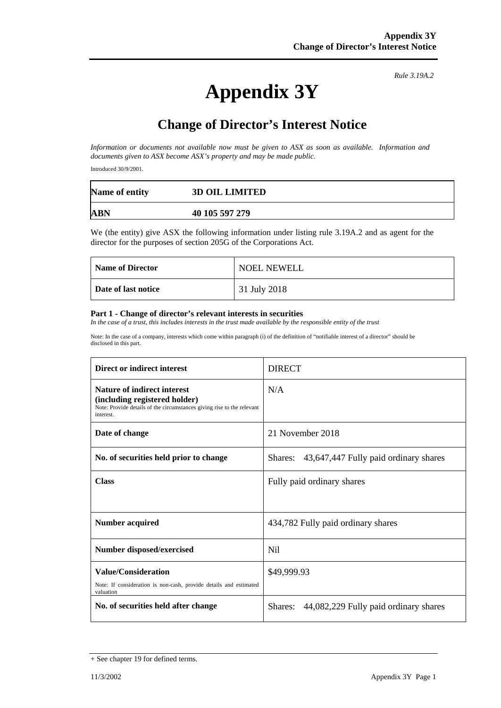# **Appendix 3Y**

*Rule 3.19A.2*

## **Change of Director's Interest Notice**

*Information or documents not available now must be given to ASX as soon as available. Information and documents given to ASX become ASX's property and may be made public.*

Introduced 30/9/2001.

| Name of entity | <b>3D OIL LIMITED</b> |
|----------------|-----------------------|
| <b>ABN</b>     | 40 105 597 279        |

We (the entity) give ASX the following information under listing rule 3.19A.2 and as agent for the director for the purposes of section 205G of the Corporations Act.

| <b>Name of Director</b> | NOEL NEWELL  |
|-------------------------|--------------|
| Date of last notice     | 31 July 2018 |

#### **Part 1 - Change of director's relevant interests in securities**

*In the case of a trust, this includes interests in the trust made available by the responsible entity of the trust*

Note: In the case of a company, interests which come within paragraph (i) of the definition of "notifiable interest of a director" should be disclosed in this part.

| Direct or indirect interest                                                                                                                                | <b>DIRECT</b>                                 |  |
|------------------------------------------------------------------------------------------------------------------------------------------------------------|-----------------------------------------------|--|
| <b>Nature of indirect interest</b><br>(including registered holder)<br>Note: Provide details of the circumstances giving rise to the relevant<br>interest. | N/A                                           |  |
| Date of change                                                                                                                                             | 21 November 2018                              |  |
| No. of securities held prior to change                                                                                                                     | Shares: 43,647,447 Fully paid ordinary shares |  |
| <b>Class</b>                                                                                                                                               | Fully paid ordinary shares                    |  |
| <b>Number acquired</b>                                                                                                                                     | 434,782 Fully paid ordinary shares            |  |
| Number disposed/exercised                                                                                                                                  | N <sub>i</sub>                                |  |
| <b>Value/Consideration</b><br>Note: If consideration is non-cash, provide details and estimated<br>valuation                                               | \$49,999.93                                   |  |
| No. of securities held after change                                                                                                                        | Shares: 44,082,229 Fully paid ordinary shares |  |

<sup>+</sup> See chapter 19 for defined terms.